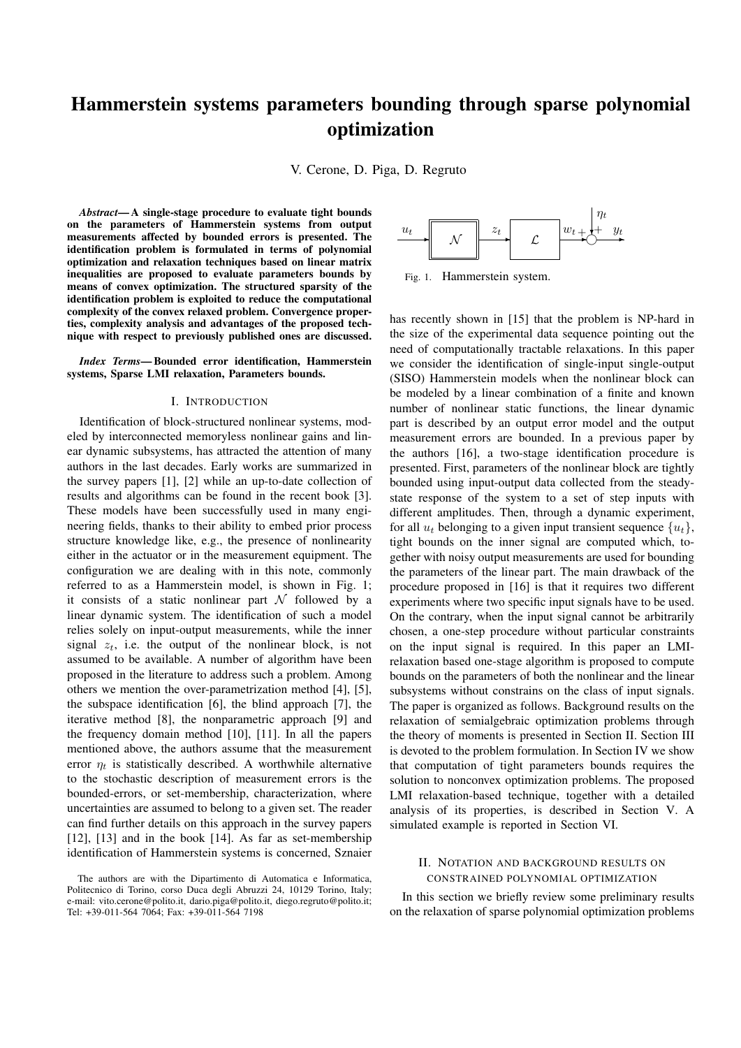# Hammerstein systems parameters bounding through sparse polynomial optimization

V. Cerone, D. Piga, D. Regruto

*Abstract*— A single-stage procedure to evaluate tight bounds on the parameters of Hammerstein systems from output measurements affected by bounded errors is presented. The identification problem is formulated in terms of polynomial optimization and relaxation techniques based on linear matrix inequalities are proposed to evaluate parameters bounds by means of convex optimization. The structured sparsity of the identification problem is exploited to reduce the computational complexity of the convex relaxed problem. Convergence properties, complexity analysis and advantages of the proposed technique with respect to previously published ones are discussed.

*Index Terms*— Bounded error identification, Hammerstein systems, Sparse LMI relaxation, Parameters bounds.

# I. INTRODUCTION

Identification of block-structured nonlinear systems, modeled by interconnected memoryless nonlinear gains and linear dynamic subsystems, has attracted the attention of many authors in the last decades. Early works are summarized in the survey papers [1], [2] while an up-to-date collection of results and algorithms can be found in the recent book [3]. These models have been successfully used in many engineering fields, thanks to their ability to embed prior process structure knowledge like, e.g., the presence of nonlinearity either in the actuator or in the measurement equipment. The configuration we are dealing with in this note, commonly referred to as a Hammerstein model, is shown in Fig. 1; it consists of a static nonlinear part *N* followed by a linear dynamic system. The identification of such a model relies solely on input-output measurements, while the inner signal  $z_t$ , i.e. the output of the nonlinear block, is not assumed to be available. A number of algorithm have been proposed in the literature to address such a problem. Among others we mention the over-parametrization method [4], [5], the subspace identification [6], the blind approach [7], the iterative method [8], the nonparametric approach [9] and the frequency domain method [10], [11]. In all the papers mentioned above, the authors assume that the measurement error  $\eta_t$  is statistically described. A worthwhile alternative to the stochastic description of measurement errors is the bounded-errors, or set-membership, characterization, where uncertainties are assumed to belong to a given set. The reader can find further details on this approach in the survey papers [12], [13] and in the book [14]. As far as set-membership identification of Hammerstein systems is concerned, Sznaier



Fig. 1. Hammerstein system.

has recently shown in [15] that the problem is NP-hard in the size of the experimental data sequence pointing out the need of computationally tractable relaxations. In this paper we consider the identification of single-input single-output (SISO) Hammerstein models when the nonlinear block can be modeled by a linear combination of a finite and known number of nonlinear static functions, the linear dynamic part is described by an output error model and the output measurement errors are bounded. In a previous paper by the authors [16], a two-stage identification procedure is presented. First, parameters of the nonlinear block are tightly bounded using input-output data collected from the steadystate response of the system to a set of step inputs with different amplitudes. Then, through a dynamic experiment, for all  $u_t$  belonging to a given input transient sequence  $\{u_t\}$ , tight bounds on the inner signal are computed which, together with noisy output measurements are used for bounding the parameters of the linear part. The main drawback of the procedure proposed in [16] is that it requires two different experiments where two specific input signals have to be used. On the contrary, when the input signal cannot be arbitrarily chosen, a one-step procedure without particular constraints on the input signal is required. In this paper an LMIrelaxation based one-stage algorithm is proposed to compute bounds on the parameters of both the nonlinear and the linear subsystems without constrains on the class of input signals. The paper is organized as follows. Background results on the relaxation of semialgebraic optimization problems through the theory of moments is presented in Section II. Section III is devoted to the problem formulation. In Section IV we show that computation of tight parameters bounds requires the solution to nonconvex optimization problems. The proposed LMI relaxation-based technique, together with a detailed analysis of its properties, is described in Section V. A simulated example is reported in Section VI.

# II. NOTATION AND BACKGROUND RESULTS ON CONSTRAINED POLYNOMIAL OPTIMIZATION

In this section we briefly review some preliminary results on the relaxation of sparse polynomial optimization problems

The authors are with the Dipartimento di Automatica e Informatica, Politecnico di Torino, corso Duca degli Abruzzi 24, 10129 Torino, Italy; e-mail: vito.cerone@polito.it, dario.piga@polito.it, diego.regruto@polito.it; Tel: +39-011-564 7064; Fax: +39-011-564 7198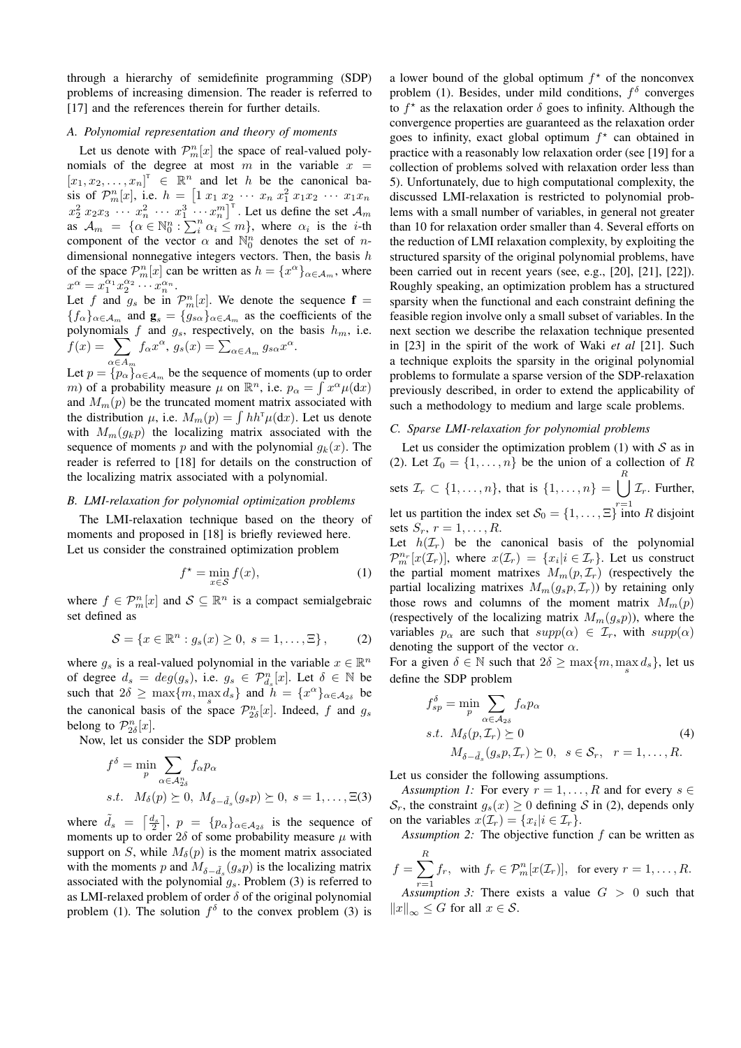through a hierarchy of semidefinite programming (SDP) problems of increasing dimension. The reader is referred to [17] and the references therein for further details.

#### *A. Polynomial representation and theory of moments*

Let us denote with  $\mathcal{P}_m^n[x]$  the space of real-valued polynomials of the degree at most  $m$  in the variable  $x =$  $[x_1, x_2, \ldots, x_n]$ <sup>T</sup>  $\in \mathbb{R}^n$  and let *h* be the canonical basis of  $\mathcal{P}_m^n[x]$ , i.e.  $h = [1 x_1 x_2 \cdots x_n x_1^2 x_1 x_2 \cdots x_1 x_n$  $x_2^2 x_2 x_3 \cdots x_n^2 \cdots x_1^3 \cdots x_n^m$ <sup>T</sup>. Let us define the set  $\mathcal{A}_m$ as  $\mathcal{A}_m = {\alpha \in \mathbb{N}_0^n : \sum_i^n \alpha_i \leq m}$ , where  $\alpha_i$  is the *i*-th component of the vector  $\alpha$  and  $\mathbb{N}_0^n$  denotes the set of *n*dimensional nonnegative integers vectors. Then, the basis *h* of the space  $\mathcal{P}_m^n[x]$  can be written as  $h = \{x^\alpha\}_{\alpha \in A_m}$ , where  $x^{\alpha} = x_1^{\alpha_1} x_2^{\alpha_2} \cdots x_n^{\alpha_n}.$ 

Let *f* and  $g_s$  be in  $\mathcal{P}_m^n[x]$ . We denote the sequence  $f =$  ${f_{\alpha}}_{\alpha \in A_m}$  and  $\mathbf{g}_s = {g_{s\alpha}}_{\alpha \in A_m}$  as the coefficients of the polynomials  $f$  and  $g_s$ , respectively, on the basis  $h_m$ , i.e.  $f(x) = \sum f_{\alpha} x^{\alpha}, g_{s}(x) = \sum_{\alpha \in A_m} g_{s\alpha} x^{\alpha}.$ 

Let  $p = \{p_{\alpha}\}_{\alpha \in A_m}$  be the sequence of moments (up to order) *m*) of a probability measure  $\mu$  on  $\mathbb{R}^n$ , i.e.  $p_\alpha = \int x^\alpha \mu(dx)$ and  $M_m(p)$  be the truncated moment matrix associated with the distribution  $\mu$ , i.e.  $M_m(p) = \int hh^{\dagger} \mu(dx)$ . Let us denote with  $M_m(q_k p)$  the localizing matrix associated with the sequence of moments *p* and with the polynomial  $q_k(x)$ . The reader is referred to [18] for details on the construction of the localizing matrix associated with a polynomial.

## *B. LMI-relaxation for polynomial optimization problems*

The LMI-relaxation technique based on the theory of moments and proposed in [18] is briefly reviewed here. Let us consider the constrained optimization problem

$$
f^* = \min_{x \in \mathcal{S}} f(x),\tag{1}
$$

where  $f \in \mathcal{P}_m^n[x]$  and  $\mathcal{S} \subseteq \mathbb{R}^n$  is a compact semialgebraic set defined as

$$
S = \{x \in \mathbb{R}^n : g_s(x) \ge 0, \ s = 1, \dots, \Xi\},\tag{2}
$$

where  $g_s$  is a real-valued polynomial in the variable  $x \in \mathbb{R}^n$ of degree  $d_s = deg(g_s)$ , i.e.  $g_s \in \mathcal{P}_{d_s}^n[x]$ . Let  $\delta \in \mathbb{N}$  be such that  $2\delta \ge \max\{m, \max_s d_s\}$  and  $h = \{x^{\alpha}\}_{{\alpha} \in A_{2\delta}}$  be the canonical basis of the space  $\mathcal{P}_{2\delta}^n[x]$ . Indeed, f and  $g_s$ belong to  $\mathcal{P}_{2\delta}^n[x]$ .

Now, let us consider the SDP problem

$$
f^{\delta} = \min_{p} \sum_{\alpha \in \mathcal{A}_{2\delta}^n} f_{\alpha} p_{\alpha}
$$
  
s.t.  $M_{\delta}(p) \succeq 0$ ,  $M_{\delta - \tilde{d}_s}(g_s p) \succeq 0$ ,  $s = 1, ..., \Xi(3)$ 

where  $\tilde{d}_s = \left[\frac{d_s}{2}\right], p = \{p_\alpha\}_{\alpha \in A_{2\delta}}$  is the sequence of moments up to order  $2\delta$  of some probability measure  $\mu$  with support on *S*, while  $M_\delta(p)$  is the moment matrix associated with the moments *p* and  $M_{\delta-\tilde{d}_s}(g_s p)$  is the localizing matrix associated with the polynomial *gs*. Problem (3) is referred to as LMI-relaxed problem of order  $\delta$  of the original polynomial problem (1). The solution  $f^{\delta}$  to the convex problem (3) is

a lower bound of the global optimum  $f^*$  of the nonconvex problem (1). Besides, under mild conditions,  $f^{\delta}$  converges to  $f^*$  as the relaxation order  $\delta$  goes to infinity. Although the convergence properties are guaranteed as the relaxation order goes to infinity, exact global optimum  $f^*$  can obtained in practice with a reasonably low relaxation order (see [19] for a collection of problems solved with relaxation order less than 5). Unfortunately, due to high computational complexity, the discussed LMI-relaxation is restricted to polynomial problems with a small number of variables, in general not greater than 10 for relaxation order smaller than 4. Several efforts on the reduction of LMI relaxation complexity, by exploiting the structured sparsity of the original polynomial problems, have been carried out in recent years (see, e.g., [20], [21], [22]). Roughly speaking, an optimization problem has a structured sparsity when the functional and each constraint defining the feasible region involve only a small subset of variables. In the next section we describe the relaxation technique presented in [23] in the spirit of the work of Waki *et al* [21]. Such a technique exploits the sparsity in the original polynomial problems to formulate a sparse version of the SDP-relaxation previously described, in order to extend the applicability of such a methodology to medium and large scale problems.

## *C. Sparse LMI-relaxation for polynomial problems*

Let us consider the optimization problem  $(1)$  with  $S$  as in (2). Let  $\mathcal{I}_0 = \{1, \ldots, n\}$  be the union of a collection of R sets  $\mathcal{I}_r \subset \{1, ..., n\}$ , that is  $\{1, ..., n\} = \binom{R}{n}$ let us partition the index set  $S_0 = \{1, \ldots, \Xi\}^{\tau=1}$  into *R* disjoint *Ir*. Further, sets  $S_r$ ,  $r = 1, ..., R$ .

Let  $h(\mathcal{I}_r)$  be the canonical basis of the polynomial  $\mathcal{P}_m^{n_r}[x(\mathcal{I}_r)],$  where  $x(\mathcal{I}_r) = \{x_i | i \in \mathcal{I}_r\}$ . Let us construct the partial moment matrixes  $M_m(p, \mathcal{I}_r)$  (respectively the partial localizing matrixes  $M_m(g_s p, \mathcal{I}_r)$ ) by retaining only those rows and columns of the moment matrix  $M_m(p)$ (respectively of the localizing matrix  $M_m(g_s p)$ ), where the variables  $p_\alpha$  are such that  $supp(\alpha) \in \mathcal{I}_r$ , with  $supp(\alpha)$ denoting the support of the vector *α*.

For a given  $\delta \in \mathbb{N}$  such that  $2\delta \ge \max\{m, \max_s d_s\}$ , let us define the SDP problem

$$
f_{sp}^{\delta} = \min_{p} \sum_{\alpha \in A_{2\delta}} f_{\alpha} p_{\alpha}
$$
  
s.t.  $M_{\delta}(p, \mathcal{I}_r) \succeq 0$  (4)  

$$
M_{\delta - \tilde{d}_s}(g_s p, \mathcal{I}_r) \succeq 0, \quad s \in \mathcal{S}_r, \quad r = 1, ..., R.
$$

Let us consider the following assumptions.

*Assumption 1:* For every  $r = 1, \ldots, R$  and for every  $s \in$ *S<sub>r</sub>*, the constraint  $g_s(x) \geq 0$  defining *S* in (2), depends only on the variables  $x(\mathcal{I}_r) = \{x_i | i \in \mathcal{I}_r\}.$ 

*Assumption 2:* The objective function *f* can be written as *R*

$$
f = \sum_{r=1}^{n} f_r, \text{ with } f_r \in \mathcal{P}_m^n[x(\mathcal{I}_r)], \text{ for every } r = 1, \dots, R.
$$

*r*=1<br>*Assumption 3:* There exists a value  $G > 0$  such that  $||x||_{\infty}$  ≤ *G* for all  $x \in S$ .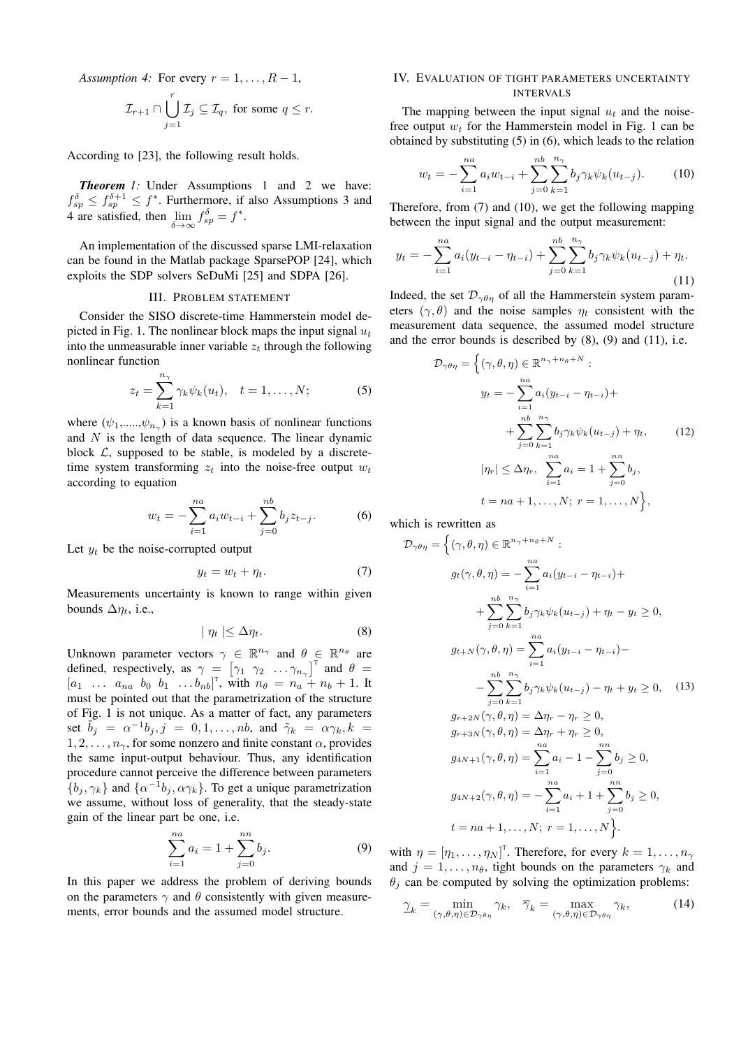*Assumption 4:* For every  $r = 1, \ldots, R - 1$ ,

$$
\mathcal{I}_{r+1} \cap \bigcup_{j=1}^r \mathcal{I}_j \subseteq \mathcal{I}_q, \text{ for some } q \leq r.
$$

According to [23], the following result holds.

*Theorem 1:* Under Assumptions 1 and 2 we have:  $f_{sp}^{\delta} \leq f_{sp}^{\delta+1} \leq f^*$ . Furthermore, if also Assumptions 3 and 4 are satisfied, then lim *δ→∞*  $f_{sp}^{\delta} = f^*$ .

An implementation of the discussed sparse LMI-relaxation can be found in the Matlab package SparsePOP [24], which exploits the SDP solvers SeDuMi [25] and SDPA [26].

# III. PROBLEM STATEMENT

Consider the SISO discrete-time Hammerstein model depicted in Fig. 1. The nonlinear block maps the input signal *u<sup>t</sup>* into the unmeasurable inner variable  $z_t$  through the following nonlinear function

$$
z_t = \sum_{k=1}^{n_{\gamma}} \gamma_k \psi_k(u_t), \quad t = 1, \dots, N; \tag{5}
$$

where  $(\psi_1, \ldots, \psi_{n_\gamma})$  is a known basis of nonlinear functions and *N* is the length of data sequence. The linear dynamic block  $\mathcal{L}$ , supposed to be stable, is modeled by a discretetime system transforming  $z_t$  into the noise-free output  $w_t$ according to equation

$$
w_t = -\sum_{i=1}^{na} a_i w_{t-i} + \sum_{j=0}^{nb} b_j z_{t-j}.
$$
 (6)

Let  $y_t$  be the noise-corrupted output

$$
y_t = w_t + \eta_t. \tag{7}
$$

Measurements uncertainty is known to range within given bounds  $\Delta \eta_t$ , i.e.,

$$
|\eta_t| \le \Delta \eta_t. \tag{8}
$$

Unknown parameter vectors  $\gamma \in \mathbb{R}^{n_{\gamma}}$  and  $\theta \in \mathbb{R}^{n_{\theta}}$  are defined, respectively, as  $\gamma = \begin{bmatrix} \gamma_1 & \gamma_2 & \dots & \gamma_{n_\gamma} \end{bmatrix}^T$  and  $\theta =$  $[a_1 \ldots a_{na} \; b_0 \; b_1 \; \ldots b_{nb}]^T$ , with  $n_\theta = n_a + n_b + 1$ . It must be pointed out that the parametrization of the structure of Fig. 1 is not unique. As a matter of fact, any parameters set  $\tilde{b}_j = \alpha^{-1}b_j, j = 0, 1, \ldots, nb$ , and  $\tilde{\gamma}_k = \alpha \gamma_k, k =$  $1, 2, \ldots, n_\gamma$ , for some nonzero and finite constant  $\alpha$ , provides the same input-output behaviour. Thus, any identification procedure cannot perceive the difference between parameters  $\{b_j, \gamma_k\}$  and  $\{\alpha^{-1}b_j, \alpha\gamma_k\}$ . To get a unique parametrization we assume, without loss of generality, that the steady-state gain of the linear part be one, i.e.

$$
\sum_{i=1}^{na} a_i = 1 + \sum_{j=0}^{nn} b_j.
$$
 (9)

In this paper we address the problem of deriving bounds on the parameters  $\gamma$  and  $\theta$  consistently with given measurements, error bounds and the assumed model structure.

## IV. EVALUATION OF TIGHT PARAMETERS UNCERTAINTY INTERVALS

The mapping between the input signal  $u_t$  and the noisefree output *w<sup>t</sup>* for the Hammerstein model in Fig. 1 can be obtained by substituting (5) in (6), which leads to the relation

$$
w_t = -\sum_{i=1}^{na} a_i w_{t-i} + \sum_{j=0}^{nb} \sum_{k=1}^{n_{\gamma}} b_j \gamma_k \psi_k(u_{t-j}). \tag{10}
$$

Therefore, from (7) and (10), we get the following mapping between the input signal and the output measurement:

$$
y_t = -\sum_{i=1}^{na} a_i (y_{t-i} - \eta_{t-i}) + \sum_{j=0}^{nb} \sum_{k=1}^{n_{\gamma}} b_j \gamma_k \psi_k (u_{t-j}) + \eta_t.
$$
\n(11)

Indeed, the set  $\mathcal{D}_{\gamma\theta\eta}$  of all the Hammerstein system parameters  $(\gamma, \theta)$  and the noise samples  $\eta_t$  consistent with the measurement data sequence, the assumed model structure and the error bounds is described by  $(8)$ ,  $(9)$  and  $(11)$ , i.e.

$$
\mathcal{D}_{\gamma\theta\eta} = \left\{ (\gamma, \theta, \eta) \in \mathbb{R}^{n_{\gamma} + n_{\theta} + N} : \right.
$$
  

$$
y_t = -\sum_{i=1}^{n_a} a_i (y_{t-i} - \eta_{t-i}) +
$$

$$
+ \sum_{j=0}^{n_b} \sum_{k=1}^{n_{\gamma}} b_j \gamma_k \psi_k (u_{t-j}) + \eta_t, \qquad (12)
$$

$$
|\eta_r| \leq \Delta \eta_r, \sum_{i=1}^{n_a} a_i = 1 + \sum_{j=0}^{n_n} b_j,
$$

$$
t = na + 1, \dots, N; r = 1, \dots, N \right\},
$$

which is rewritten as

 $P$ *γθη* = *Σ* 

$$
\gamma_{\theta\eta} = \left\{ (\gamma, \theta, \eta) \in \mathbb{R}^{n_{\gamma} + n_{\theta} + N} : \right.\n g_t(\gamma, \theta, \eta) = -\sum_{i=1}^{n_a} a_i (y_{t-i} - \eta_{t-i}) + \right.\n+ \sum_{j=0}^{n_b} \sum_{k=1}^{n_{\gamma}} b_j \gamma_k \psi_k (u_{t-j}) + \eta_t - y_t \ge 0,\n g_{t+N}(\gamma, \theta, \eta) = \sum_{i=1}^{n_a} a_i (y_{t-i} - \eta_{t-i}) - \right.\n- \sum_{j=0}^{n_b} \sum_{k=1}^{n_{\gamma}} b_j \gamma_k \psi_k (u_{t-j}) - \eta_t + y_t \ge 0, \quad (13)\n g_{r+2N}(\gamma, \theta, \eta) = \Delta \eta_r - \eta_r \ge 0,\n g_{r+3N}(\gamma, \theta, \eta) = \Delta \eta_r + \eta_r \ge 0,\n g_{4N+1}(\gamma, \theta, \eta) = \sum_{i=1}^{n_a} a_i - 1 - \sum_{j=0}^{n_b} b_j \ge 0,\n g_{4N+2}(\gamma, \theta, \eta) = -\sum_{i=1}^{n_a} a_i + 1 + \sum_{j=0}^{n_b} b_j \ge 0,\n t = na + 1, ..., N; r = 1, ..., N \}.
$$

with  $\eta = [\eta_1, \dots, \eta_N]^T$ . Therefore, for every  $k = 1, \dots, n_\gamma$ and  $j = 1, \ldots, n_\theta$ , tight bounds on the parameters  $\gamma_k$  and  $\theta$ <sup>*j*</sup> can be computed by solving the optimization problems:

$$
\underline{\gamma}_k = \min_{(\gamma,\theta,\eta)\in\mathcal{D}_{\gamma\theta\eta}} \gamma_k, \quad \overline{\gamma}_k = \max_{(\gamma,\theta,\eta)\in\mathcal{D}_{\gamma\theta\eta}} \gamma_k,\tag{14}
$$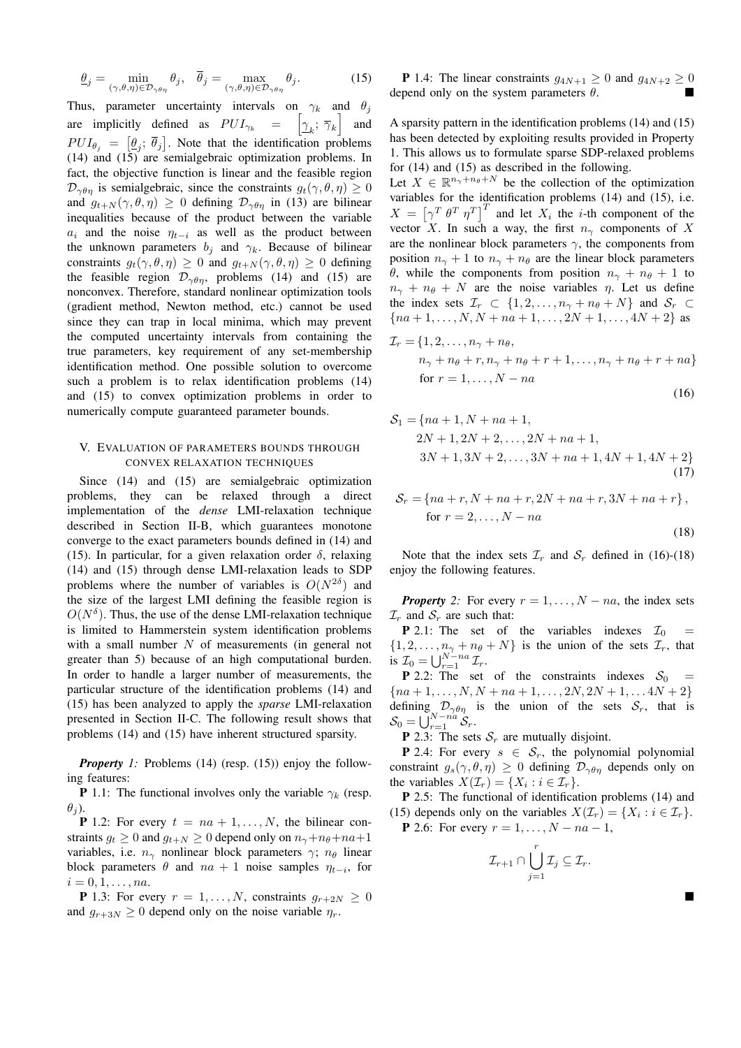$$
\underline{\theta}_j = \min_{(\gamma,\theta,\eta)\in\mathcal{D}_{\gamma\theta\eta}} \theta_j, \quad \overline{\theta}_j = \max_{(\gamma,\theta,\eta)\in\mathcal{D}_{\gamma\theta\eta}} \theta_j.
$$
 (15)

Thus, parameter uncertainty intervals on  $\gamma_k$  and  $\theta_j$ are implicitly defined as  $PUI_{\gamma_k} = \left[ \gamma_k; \overline{\gamma}_k \right]$  and  $PUI_{\theta_j} = [\underline{\theta_j}; \overline{\theta_j}]$ . Note that the identification problems (14) and (15) are semialgebraic optimization problems. In fact, the objective function is linear and the feasible region  $\mathcal{D}_{\gamma\theta\eta}$  is semialgebraic, since the constraints  $g_t(\gamma, \theta, \eta) \geq 0$ and  $g_{t+N}(\gamma, \theta, \eta) \geq 0$  defining  $\mathcal{D}_{\gamma\theta\eta}$  in (13) are bilinear inequalities because of the product between the variable *a*<sup>*i*</sup> and the noise  $η$ <sup>*t*</sup>*−i*</sub> as well as the product between the unknown parameters  $b_j$  and  $\gamma_k$ . Because of bilinear constraints  $g_t(\gamma, \theta, \eta) \geq 0$  and  $g_{t+N}(\gamma, \theta, \eta) \geq 0$  defining the feasible region  $\mathcal{D}_{\gamma\theta\eta}$ , problems (14) and (15) are nonconvex. Therefore, standard nonlinear optimization tools (gradient method, Newton method, etc.) cannot be used since they can trap in local minima, which may prevent the computed uncertainty intervals from containing the true parameters, key requirement of any set-membership identification method. One possible solution to overcome such a problem is to relax identification problems  $(14)$ and (15) to convex optimization problems in order to numerically compute guaranteed parameter bounds.

# V. EVALUATION OF PARAMETERS BOUNDS THROUGH CONVEX RELAXATION TECHNIQUES

Since (14) and (15) are semialgebraic optimization problems, they can be relaxed through a direct implementation of the *dense* LMI-relaxation technique described in Section II-B, which guarantees monotone converge to the exact parameters bounds defined in (14) and (15). In particular, for a given relaxation order  $\delta$ , relaxing (14) and (15) through dense LMI-relaxation leads to SDP problems where the number of variables is  $O(N^{2\delta})$  and the size of the largest LMI defining the feasible region is  $O(N^{\delta})$ . Thus, the use of the dense LMI-relaxation technique is limited to Hammerstein system identification problems with a small number *N* of measurements (in general not greater than 5) because of an high computational burden. In order to handle a larger number of measurements, the particular structure of the identification problems (14) and (15) has been analyzed to apply the *sparse* LMI-relaxation presented in Section II-C. The following result shows that problems (14) and (15) have inherent structured sparsity.

*Property 1:* Problems (14) (resp. (15)) enjoy the following features:

**P** 1.1: The functional involves only the variable  $\gamma_k$  (resp.  $\theta$ <sup>j</sup>).

**P** 1.2: For every  $t = na + 1, ..., N$ , the bilinear constraints  $g_t \geq 0$  and  $g_{t+N} \geq 0$  depend only on  $n_\gamma + n_\theta + na + 1$ variables, i.e.  $n_\gamma$  nonlinear block parameters  $\gamma$ ;  $n_\theta$  linear block parameters  $\theta$  and  $na + 1$  noise samples  $\eta_{t-i}$ , for  $i = 0, 1, \ldots, na.$ 

**P** 1.3: For every  $r = 1, \ldots, N$ , constraints  $q_{r+2N} \geq 0$ and  $g_{r+3N} \geq 0$  depend only on the noise variable  $\eta_r$ .

**P** 1.4: The linear constraints *g*<sub>4*N*+1</sub> ≥ 0 and *g*<sub>4*N*+2</sub> ≥ 0 depend only on the system parameters *θ*.

A sparsity pattern in the identification problems (14) and (15) has been detected by exploiting results provided in Property 1. This allows us to formulate sparse SDP-relaxed problems for (14) and (15) as described in the following.

Let  $X \in \mathbb{R}^{n_{\gamma}+n_{\theta}+N}$  be the collection of the optimization variables for the identification problems (14) and (15), i.e.  $X = \left[ \gamma^T \theta^T \eta^T \right]^T$  and let  $X_i$  the *i*-th component of the vector *X*. In such a way, the first  $n_\gamma$  components of *X* are the nonlinear block parameters  $\gamma$ , the components from position  $n_{\gamma} + 1$  to  $n_{\gamma} + n_{\theta}$  are the linear block parameters *θ*, while the components from position  $n<sub>γ</sub> + n<sub>θ</sub> + 1$  to  $n<sub>γ</sub> + n<sub>θ</sub> + N$  are the noise variables *η*. Let us define the index sets  $\mathcal{I}_r \subset \{1, 2, \ldots, n_\gamma + n_\theta + N\}$  and  $\mathcal{S}_r \subset$  ${na + 1, ..., N, N + na + 1, ..., 2N + 1, ..., 4N + 2}$  as

$$
\mathcal{I}_r = \{1, 2, \dots, n_\gamma + n_\theta, \n n_\gamma + n_\theta + r, n_\gamma + n_\theta + r + 1, \dots, n_\gamma + n_\theta + r + n_\theta \}
$$
\nfor  $r = 1, \dots, N - na$  (16)

$$
S_1 = \{na + 1, N + na + 1, 2N + 1, 2N + 2, ..., 2N + na + 1, 3N + 1, 3N + 2, ..., 3N + na + 1, 4N + 1, 4N + 2\}
$$
\n(17)

$$
S_r = \{ na + r, N + na + r, 2N + na + r, 3N + na + r \},\
$$
  
for  $r = 2, ..., N - na$  (18)

Note that the index sets  $\mathcal{I}_r$  and  $\mathcal{S}_r$  defined in (16)-(18) enjoy the following features.

*Property* 2: For every  $r = 1, \ldots, N - na$ , the index sets  $\mathcal{I}_r$  and  $\mathcal{S}_r$  are such that:

**P** 2.1: The set of the variables indexes  $\mathcal{I}_0$  =  $\{1, 2, \ldots, n_{\gamma} + n_{\theta} + N\}$  is the union of the sets  $\mathcal{I}_r$ , that is  $\mathcal{I}_0 = \bigcup_{r=1}^{N-na} \mathcal{I}_r$ .

**P** 2.2: The set of the constraints indexes  $S_0$ *{na* + 1*, . . . , N, N* + *na* + 1*, . . . ,* 2*N,* 2*N* + 1*, . . .* 4*N* + 2*}* defining  $\mathcal{D}_{\gamma\theta\eta}$  is the union of the sets  $\mathcal{S}_r$ , that is  $\mathcal{S}_0 = \bigcup_{r=1}^{N-na} \mathcal{S}_r.$ 

**P** 2.3: The sets  $S_r$  are mutually disjoint.

**P** 2.4: For every  $s \in S_r$ , the polynomial polynomial constraint  $g_s(\gamma, \theta, \eta) \geq 0$  defining  $\mathcal{D}_{\gamma\theta\eta}$  depends only on the variables  $X(\mathcal{I}_r) = \{X_i : i \in \mathcal{I}_r\}.$ 

P 2.5: The functional of identification problems (14) and (15) depends only on the variables  $X(\mathcal{I}_r) = \{X_i : i \in \mathcal{I}_r\}.$ 

**P** 2.6: For every  $r = 1, ..., N - na - 1$ ,

$$
\mathcal{I}_{r+1} \cap \bigcup_{j=1}^r \mathcal{I}_j \subseteq \mathcal{I}_r.
$$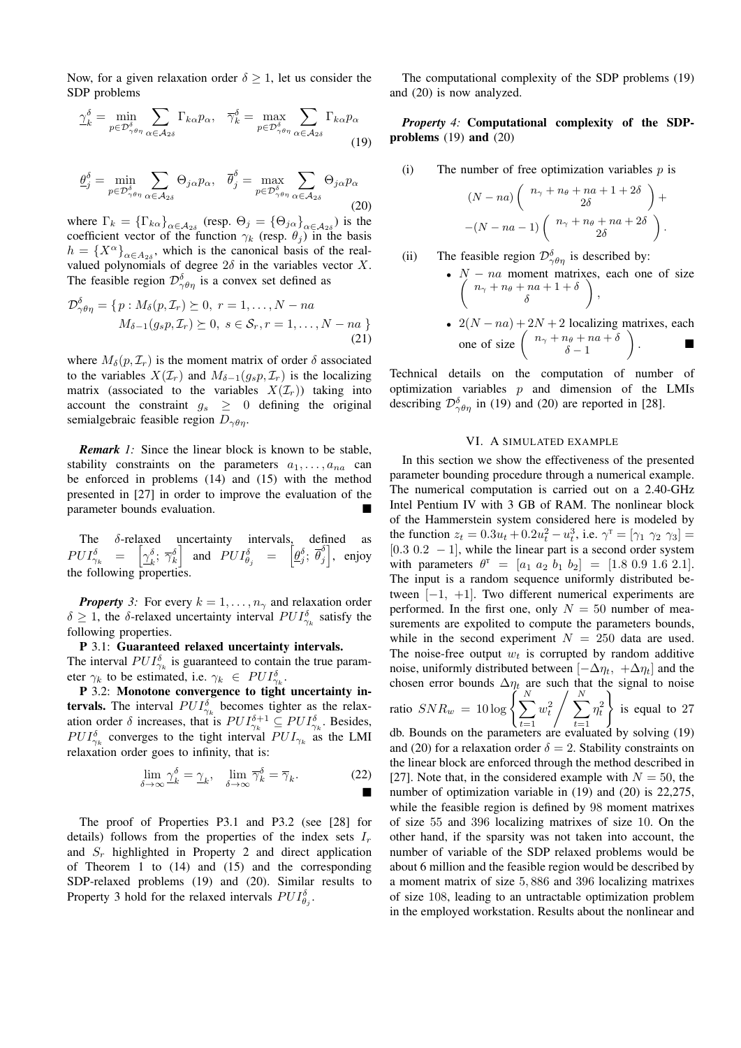Now, for a given relaxation order  $\delta \geq 1$ , let us consider the SDP problems

$$
\gamma_{k}^{\delta} = \min_{p \in \mathcal{D}_{\gamma\theta\eta}} \sum_{\alpha \in \mathcal{A}_{2\delta}} \Gamma_{k\alpha} p_{\alpha}, \quad \overline{\gamma}_{k}^{\delta} = \max_{p \in \mathcal{D}_{\gamma\theta\eta}} \sum_{\alpha \in \mathcal{A}_{2\delta}} \Gamma_{k\alpha} p_{\alpha}
$$
\n(19)

$$
\underline{\theta}_{j}^{\delta} = \min_{p \in \mathcal{D}_{\gamma\theta\eta}} \sum_{\alpha \in \mathcal{A}_{2\delta}} \Theta_{j\alpha} p_{\alpha}, \quad \overline{\theta}_{j}^{\delta} = \max_{p \in \mathcal{D}_{\gamma\theta\eta}} \sum_{\alpha \in \mathcal{A}_{2\delta}} \Theta_{j\alpha} p_{\alpha}
$$
(20)

where  $\Gamma_k = {\{\Gamma_{k\alpha}\}}_{\alpha \in A_{2\delta}}$  (resp.  $\Theta_j = {\{\Theta_{j\alpha}\}}_{\alpha \in A_{2\delta}}$ ) is the coefficient vector of the function  $\gamma_k$  (resp.  $\theta_j$ ) in the basis  $h = {X^{\alpha}}_{\alpha \in A_{2\delta}}$ , which is the canonical basis of the realvalued polynomials of degree  $2\delta$  in the variables vector *X*. The feasible region  $\mathcal{D}^{\delta}_{\gamma\theta\eta}$  is a convex set defined as

$$
\mathcal{D}_{\gamma\theta\eta}^{\delta} = \{p : M_{\delta}(p, \mathcal{I}_r) \succeq 0, r = 1, \dots, N - na
$$
  

$$
M_{\delta-1}(g_s p, \mathcal{I}_r) \succeq 0, s \in \mathcal{S}_r, r = 1, \dots, N - na \}
$$
  
(21)

where  $M_{\delta}(p, \mathcal{I}_r)$  is the moment matrix of order  $\delta$  associated to the variables  $X(\mathcal{I}_r)$  and  $M_{\delta-1}(g_s p, \mathcal{I}_r)$  is the localizing matrix (associated to the variables  $X(\mathcal{I}_r)$ ) taking into account the constraint  $g_s \geq 0$  defining the original semialgebraic feasible region *Dγθη*.

*Remark 1:* Since the linear block is known to be stable, stability constraints on the parameters  $a_1, \ldots, a_{na}$  can be enforced in problems (14) and (15) with the method presented in [27] in order to improve the evaluation of the parameter bounds evaluation.

The *δ*-relaxed uncertainty intervals, defined as  $PUI_{\gamma_k}^{\delta}$  =  $\left[\underline{\gamma}_k^{\delta}\right]$  $\begin{bmatrix} \delta_i; \ \overline{\gamma}_k^{\delta} \end{bmatrix}$  and  $PUI_{\theta_j}^{\delta}$  =  $\left[ \underline{\theta}_j^{\delta}; \ \overline{\theta}_j^{\delta} \right]$  $\begin{bmatrix} \delta \\ j \end{bmatrix}$ , enjoy the following properties.

*Property* 3: For every  $k = 1, \ldots, n_\gamma$  and relaxation order  $\delta \geq 1$ , the *δ*-relaxed uncertainty interval  $PUI_{\gamma_k}^{\delta}$  satisfy the following properties.

# P 3.1: Guaranteed relaxed uncertainty intervals.

The interval  $PUI_{\gamma_k}^{\delta}$  is guaranteed to contain the true parameter  $\gamma_k$  to be estimated, i.e.  $\gamma_k \in PUI_{\gamma_k}^{\delta}$ .

P 3.2: Monotone convergence to tight uncertainty in**tervals.** The interval  $PUI_{\gamma_k}^{\delta}$  becomes tighter as the relaxation order  $\delta$  increases, that is  $PUI_{\gamma_k}^{\delta+1} \subseteq PUI_{\gamma_k}^{\delta}$ . Besides,  $PUI_{\gamma_k}^{\delta}$  converges to the tight interval  $PUI_{\gamma_k}$  as the LMI relaxation order goes to infinity, that is:

$$
\lim_{\delta \to \infty} \underline{\gamma}_k^{\delta} = \underline{\gamma}_k, \quad \lim_{\delta \to \infty} \overline{\gamma}_k^{\delta} = \overline{\gamma}_k. \tag{22}
$$

The proof of Properties P3.1 and P3.2 (see [28] for details) follows from the properties of the index sets *I<sup>r</sup>* and *S<sup>r</sup>* highlighted in Property 2 and direct application of Theorem 1 to (14) and (15) and the corresponding SDP-relaxed problems (19) and (20). Similar results to Property 3 hold for the relaxed intervals  $PUI_{\theta_j}^{\delta}$ .

The computational complexity of the SDP problems (19) and (20) is now analyzed.

*Property 4:* Computational complexity of the SDPproblems (19) and (20)

(i) The number of free optimization variables *p* is

$$
(N-na)\left(\begin{array}{c}n_{\gamma}+n_{\theta}+na+1+2\delta\\2\delta\end{array}\right)+
$$

$$
-(N-na-1)\left(\begin{array}{c}n_{\gamma}+n_{\theta}+na+2\delta\\2\delta\end{array}\right).
$$

(ii) The feasible region 
$$
\mathcal{D}_{\gamma\theta\eta}^{\delta}
$$
 is described by:\n
$$
N = 20 \text{ moment}
$$

\n- $$
N - na
$$
 moment matrices, each one of size  $\left(\begin{array}{c} n_{\gamma} + n_{\theta} + na + 1 + \delta \\ \delta \end{array}\right)$ ,
\n- $2(N - na) + 2N + 2$  localizing matrices each
\n

• 
$$
2(N - na) + 2N + 2
$$
 localizing matrices, each  
one of size  $\begin{pmatrix} n_{\gamma} + n_{\theta} + na + \delta \\ \delta - 1 \end{pmatrix}$ .

Technical details on the computation of number of optimization variables *p* and dimension of the LMIs describing  $\mathcal{D}_{\gamma\theta\eta}^{\delta}$  in (19) and (20) are reported in [28].

### VI. A SIMULATED EXAMPLE

In this section we show the effectiveness of the presented parameter bounding procedure through a numerical example. The numerical computation is carried out on a 2.40-GHz Intel Pentium IV with 3 GB of RAM. The nonlinear block of the Hammerstein system considered here is modeled by the function  $z_t = 0.3u_t + 0.2u_t^2 - u_t^3$ , i.e.  $\gamma^{\text{T}} = [\gamma_1 \ \gamma_2 \ \gamma_3] =$ [0*.*3 0*.*2 *−* 1], while the linear part is a second order system with parameters  $\theta^T = [a_1 \ a_2 \ b_1 \ b_2] = [1.8 \ 0.9 \ 1.6 \ 2.1].$ The input is a random sequence uniformly distributed between [*−*1*,* +1]. Two different numerical experiments are performed. In the first one, only  $N = 50$  number of measurements are expolited to compute the parameters bounds, while in the second experiment  $N = 250$  data are used. The noise-free output  $w_t$  is corrupted by random additive noise, uniformly distributed between  $[-\Delta \eta_t, +\Delta \eta_t]$  and the chosen error bounds  $\Delta \eta_t$  are such that the signal to noise ratio  $SNR_w = 10 \log \left( \sum_{i=1}^{N} \right)$ *t*=1  $w_t^2 \left/ \sum_{i=1}^N \right.$ *t*=1  $\eta_t^2$  $\lambda$ is equal to 27 db. Bounds on the parameters are evaluated by solving (19) and (20) for a relaxation order  $\delta = 2$ . Stability constraints on the linear block are enforced through the method described in [27]. Note that, in the considered example with  $N = 50$ , the

number of optimization variable in (19) and (20) is 22,275, while the feasible region is defined by 98 moment matrixes of size 55 and 396 localizing matrixes of size 10. On the other hand, if the sparsity was not taken into account, the number of variable of the SDP relaxed problems would be about 6 million and the feasible region would be described by a moment matrix of size 5*,* 886 and 396 localizing matrixes of size 108, leading to an untractable optimization problem in the employed workstation. Results about the nonlinear and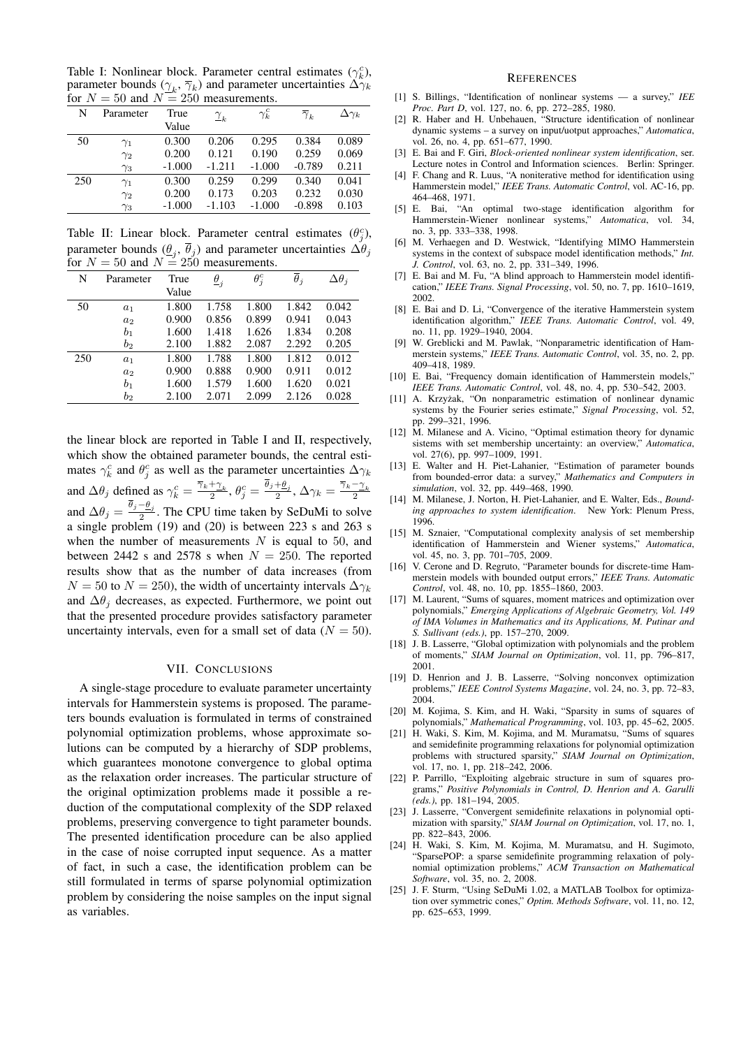Table I: Nonlinear block. Parameter central estimates  $(\gamma_k^c)$ , parameter bounds  $(\gamma_k, \overline{\gamma}_k)$  and parameter uncertainties  $\Delta \gamma_k$ for  $N = 50$  and  $N = 250$  measurements.

| N   | Parameter  | True     | $\frac{\gamma}{k}$ | $\gamma^c_k$ | $\overline{\gamma}_k$ | $\Delta\gamma_k$ |
|-----|------------|----------|--------------------|--------------|-----------------------|------------------|
|     |            | Value    |                    |              |                       |                  |
| 50  | $\gamma_1$ | 0.300    | 0.206              | 0.295        | 0.384                 | 0.089            |
|     | $\gamma_2$ | 0.200    | 0.121              | 0.190        | 0.259                 | 0.069            |
|     | $\gamma_3$ | $-1.000$ | $-1.211$           | $-1.000$     | $-0.789$              | 0.211            |
| 250 | $\gamma_1$ | 0.300    | 0.259              | 0.299        | 0.340                 | 0.041            |
|     | $\gamma_2$ | 0.200    | 0.173              | 0.203        | 0.232                 | 0.030            |
|     | $\gamma_3$ | $-1.000$ | $-1.103$           | $-1.000$     | $-0.898$              | 0.103            |

Table II: Linear block. Parameter central estimates  $(\theta_j^c)$ , parameter bounds  $(\underline{\theta}_j, \theta_j)$  and parameter uncertainties  $\Delta \theta_j$ for  $N = 50$  and  $N = 250$  measurements.

| N   | Parameter      | True  | $\underline{\theta}_j$ | $\theta_i^c$ | $\theta_i$ | $\Delta\theta_i$ |
|-----|----------------|-------|------------------------|--------------|------------|------------------|
|     |                | Value |                        |              |            |                  |
| 50  | a <sub>1</sub> | 1.800 | 1.758                  | 1.800        | 1.842      | 0.042            |
|     | $a_2$          | 0.900 | 0.856                  | 0.899        | 0.941      | 0.043            |
|     | b <sub>1</sub> | 1.600 | 1.418                  | 1.626        | 1.834      | 0.208            |
|     | $b_2$          | 2.100 | 1.882                  | 2.087        | 2.292      | 0.205            |
| 250 | $a_1$          | 1.800 | 1.788                  | 1.800        | 1.812      | 0.012            |
|     | $a_2$          | 0.900 | 0.888                  | 0.900        | 0.911      | 0.012            |
|     | b <sub>1</sub> | 1.600 | 1.579                  | 1.600        | 1.620      | 0.021            |
|     | $^{\,b_2}$     | 2.100 | 2.071                  | 2.099        | 2.126      | 0.028            |

the linear block are reported in Table I and II, respectively, which show the obtained parameter bounds, the central estimates  $\gamma_k^c$  and  $\theta_j^c$  as well as the parameter uncertainties  $\Delta \gamma_k$ and  $\Delta\theta_j$  defined as  $\gamma_k^c = \frac{\overline{\gamma}_k + \gamma_k}{2}$ ,  $\theta_j^c = \frac{\overline{\theta}_j + \theta_j}{2}$ ,  $\Delta\gamma_k = \frac{\overline{\gamma}_k - \gamma_k}{2}$ and  $\Delta\theta_j = \frac{\theta_j - \theta_j}{2}$ . The CPU time taken by SeDuMi to solve a single problem (19) and (20) is between 223 s and 263 s when the number of measurements  $N$  is equal to 50, and between 2442 s and 2578 s when  $N = 250$ . The reported results show that as the number of data increases (from  $N = 50$  to  $N = 250$ , the width of uncertainty intervals  $\Delta \gamma_k$ and  $\Delta\theta_i$  decreases, as expected. Furthermore, we point out that the presented procedure provides satisfactory parameter uncertainty intervals, even for a small set of data  $(N = 50)$ .

### VII. CONCLUSIONS

A single-stage procedure to evaluate parameter uncertainty intervals for Hammerstein systems is proposed. The parameters bounds evaluation is formulated in terms of constrained polynomial optimization problems, whose approximate solutions can be computed by a hierarchy of SDP problems, which guarantees monotone convergence to global optima as the relaxation order increases. The particular structure of the original optimization problems made it possible a reduction of the computational complexity of the SDP relaxed problems, preserving convergence to tight parameter bounds. The presented identification procedure can be also applied in the case of noise corrupted input sequence. As a matter of fact, in such a case, the identification problem can be still formulated in terms of sparse polynomial optimization problem by considering the noise samples on the input signal as variables.

## **REFERENCES**

- [1] S. Billings, "Identification of nonlinear systems a survey," *IEE Proc. Part D*, vol. 127, no. 6, pp. 272–285, 1980.
- [2] R. Haber and H. Unbehauen, "Structure identification of nonlinear dynamic systems – a survey on input/uotput approaches," *Automatica*, vol. 26, no. 4, pp. 651–677, 1990.
- [3] E. Bai and F. Giri, *Block-oriented nonlinear system identification*, ser. Lecture notes in Control and Information sciences. Berlin: Springer.
- [4] F. Chang and R. Luus, "A noniterative method for identification using Hammerstein model," *IEEE Trans. Automatic Control*, vol. AC-16, pp. 464–468, 1971.
- [5] E. Bai, "An optimal two-stage identification algorithm for Hammerstein-Wiener nonlinear systems," *Automatica*, vol. 34, no. 3, pp. 333–338, 1998.
- [6] M. Verhaegen and D. Westwick, "Identifying MIMO Hammerstein systems in the context of subspace model identification methods," *Int. J. Control*, vol. 63, no. 2, pp. 331–349, 1996.
- [7] E. Bai and M. Fu, "A blind approach to Hammerstein model identification," *IEEE Trans. Signal Processing*, vol. 50, no. 7, pp. 1610–1619, 2002.
- [8] E. Bai and D. Li, "Convergence of the iterative Hammerstein system identification algorithm," *IEEE Trans. Automatic Control*, vol. 49, no. 11, pp. 1929–1940, 2004.
- [9] W. Greblicki and M. Pawlak, "Nonparametric identification of Hammerstein systems," *IEEE Trans. Automatic Control*, vol. 35, no. 2, pp. 409–418, 1989.
- [10] E. Bai, "Frequency domain identification of Hammerstein models," *IEEE Trans. Automatic Control*, vol. 48, no. 4, pp. 530–542, 2003.
- [11] A. Krzyżak, "On nonparametric estimation of nonlinear dynamic systems by the Fourier series estimate," *Signal Processing*, vol. 52, pp. 299–321, 1996.
- [12] M. Milanese and A. Vicino, "Optimal estimation theory for dynamic sistems with set membership uncertainty: an overview," *Automatica*, vol. 27(6), pp. 997-1009, 1991.
- [13] E. Walter and H. Piet-Lahanier, "Estimation of parameter bounds from bounded-error data: a survey," *Mathematics and Computers in simulation*, vol. 32, pp. 449–468, 1990.
- [14] M. Milanese, J. Norton, H. Piet-Lahanier, and E. Walter, Eds., *Bounding approaches to system identification*. New York: Plenum Press, 1996.
- [15] M. Sznaier, "Computational complexity analysis of set membership identification of Hammerstein and Wiener systems," *Automatica*, vol. 45, no. 3, pp. 701–705, 2009.
- [16] V. Cerone and D. Regruto, "Parameter bounds for discrete-time Hammerstein models with bounded output errors," *IEEE Trans. Automatic Control*, vol. 48, no. 10, pp. 1855–1860, 2003.
- [17] M. Laurent, "Sums of squares, moment matrices and optimization over polynomials," *Emerging Applications of Algebraic Geometry, Vol. 149 of IMA Volumes in Mathematics and its Applications, M. Putinar and S. Sullivant (eds.)*, pp. 157–270, 2009.
- [18] J. B. Lasserre, "Global optimization with polynomials and the problem of moments," *SIAM Journal on Optimization*, vol. 11, pp. 796–817, 2001.
- [19] D. Henrion and J. B. Lasserre, "Solving nonconvex optimization problems," *IEEE Control Systems Magazine*, vol. 24, no. 3, pp. 72–83, 2004.
- [20] M. Kojima, S. Kim, and H. Waki, "Sparsity in sums of squares of polynomials," *Mathematical Programming*, vol. 103, pp. 45–62, 2005.
- [21] H. Waki, S. Kim, M. Kojima, and M. Muramatsu, "Sums of squares and semidefinite programming relaxations for polynomial optimization problems with structured sparsity," *SIAM Journal on Optimization*, vol. 17, no. 1, pp. 218–242, 2006.
- [22] P. Parrillo, "Exploiting algebraic structure in sum of squares programs," *Positive Polynomials in Control, D. Henrion and A. Garulli (eds.)*, pp. 181–194, 2005.
- [23] J. Lasserre, "Convergent semidefinite relaxations in polynomial optimization with sparsity," *SIAM Journal on Optimization*, vol. 17, no. 1, pp. 822–843, 2006.
- [24] H. Waki, S. Kim, M. Kojima, M. Muramatsu, and H. Sugimoto, "SparsePOP: a sparse semidefinite programming relaxation of polynomial optimization problems," *ACM Transaction on Mathematical Software*, vol. 35, no. 2, 2008.
- [25] J. F. Sturm, "Using SeDuMi 1.02, a MATLAB Toolbox for optimization over symmetric cones," *Optim. Methods Software*, vol. 11, no. 12, pp. 625–653, 1999.